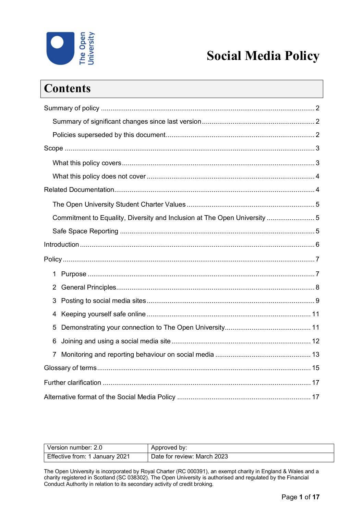

# **Social Media Policy**

| <b>Contents</b>                                                           |  |
|---------------------------------------------------------------------------|--|
|                                                                           |  |
|                                                                           |  |
|                                                                           |  |
|                                                                           |  |
|                                                                           |  |
|                                                                           |  |
|                                                                           |  |
|                                                                           |  |
| Commitment to Equality, Diversity and Inclusion at The Open University  5 |  |
|                                                                           |  |
|                                                                           |  |
|                                                                           |  |
| $\mathbf{1}$                                                              |  |
| $\mathbf{2}^{\prime}$                                                     |  |
| 3                                                                         |  |
| 4                                                                         |  |
| 5                                                                         |  |
| 6                                                                         |  |
| $\overline{7}$                                                            |  |
|                                                                           |  |
|                                                                           |  |
|                                                                           |  |

| Version number: 2.0            | Approved by:                |
|--------------------------------|-----------------------------|
| Effective from: 1 January 2021 | Date for review: March 2023 |

The Open University is incorporated by Royal Charter (RC 000391), an exempt charity in England & Wales and a charity registered in Scotland (SC 038302). The Open University is authorised and regulated by the Financial Conduct Authority in relation to its secondary activity of credit broking.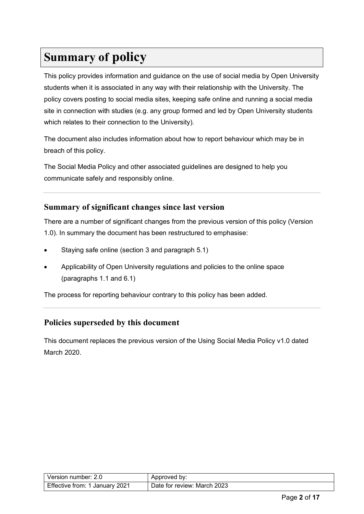# <span id="page-1-0"></span>**Summary of policy**

This policy provides information and guidance on the use of social media by Open University students when it is associated in any way with their relationship with the University. The policy covers posting to social media sites, keeping safe online and running a social media site in connection with studies (e.g. any group formed and led by Open University students which relates to their connection to the University).

The document also includes information about how to report behaviour which may be in breach of this policy.

The Social Media Policy and other associated guidelines are designed to help you communicate safely and responsibly online.

#### <span id="page-1-1"></span>**Summary of significant changes since last version**

There are a number of significant changes from the previous version of this policy (Version 1.0). In summary the document has been restructured to emphasise:

- Staying safe online (section 3 and paragraph 5.1)
- Applicability of Open University regulations and policies to the online space (paragraphs 1.1 and 6.1)

The process for reporting behaviour contrary to this policy has been added.

#### <span id="page-1-2"></span>**Policies superseded by this document**

<span id="page-1-3"></span>This document replaces the previous version of the Using Social Media Policy v1.0 dated March 2020.

| Version number: 2.0            | Approved by:                |
|--------------------------------|-----------------------------|
| Effective from: 1 January 2021 | Date for review: March 2023 |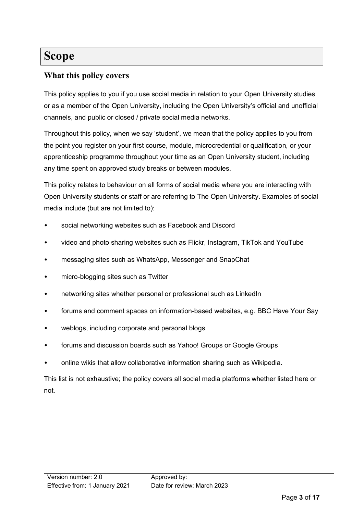## **Scope**

#### <span id="page-2-0"></span>**What this policy covers**

This policy applies to you if you use social media in relation to your Open University studies or as a member of the Open University, including the Open University's official and unofficial channels, and public or closed / private social media networks.

Throughout this policy, when we say 'student', we mean that the policy applies to you from the point you register on your first course, module, microcredential or qualification, or your apprenticeship programme throughout your time as an Open University student, including any time spent on approved study breaks or between modules.

This policy relates to behaviour on all forms of social media where you are interacting with Open University students or staff or are referring to The Open University. Examples of social media include (but are not limited to):

- social networking websites such as Facebook and Discord
- video and photo sharing websites such as Flickr, Instagram, TikTok and YouTube
- messaging sites such as WhatsApp, Messenger and SnapChat
- micro-blogging sites such as Twitter
- networking sites whether personal or professional such as LinkedIn
- forums and comment spaces on information-based websites, e.g. BBC Have Your Say
- weblogs, including corporate and personal blogs
- forums and discussion boards such as Yahoo! Groups or Google Groups
- online wikis that allow collaborative information sharing such as Wikipedia.

<span id="page-2-1"></span>This list is not exhaustive; the policy covers all social media platforms whether listed here or not.

| Version number: 2.0            | Approved by:                |
|--------------------------------|-----------------------------|
| Effective from: 1 January 2021 | Date for review: March 2023 |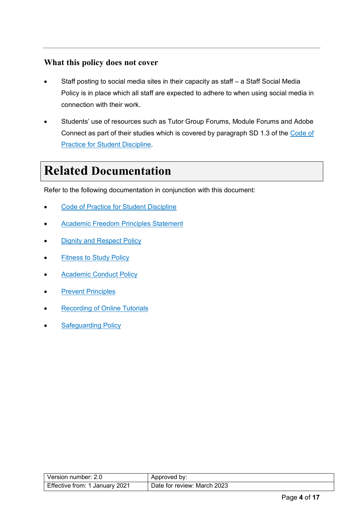#### **What this policy does not cover**

- Staff posting to social media sites in their capacity as staff a Staff Social Media Policy is in place which all staff are expected to adhere to when using social media in connection with their work.
- Students' use of resources such as Tutor Group Forums, Module Forums and Adobe Connect as part of their studies which is covered by paragraph SD 1.3 of the [Code of](https://help.open.ac.uk/documents/policies/code-of-practice-student-discipline)  [Practice for Student Discipline.](https://help.open.ac.uk/documents/policies/code-of-practice-student-discipline)

# <span id="page-3-0"></span>**Related Documentation**

Refer to the following documentation in conjunction with this document:

- [Code of Practice for Student Discipline](https://help.open.ac.uk/documents/policies/code-of-practice-student-discipline)
- [Academic Freedom Principles Statement](https://help.open.ac.uk/documents/policies/academic-freedom-principles-statement)
- **[Dignity and Respect Policy](https://help.open.ac.uk/documents/policies/dignity-and-respect)**
- **[Fitness to Study Policy](https://help.open.ac.uk/documents/policies/fitness-to-study)**
- **[Academic Conduct Policy](https://help.open.ac.uk/documents/policies/plagiarism)**
- **[Prevent Principles](https://help.open.ac.uk/documents/policies/prevent-principles)**
- **[Recording of Online Tutorials](https://help.open.ac.uk/documents/policies/recording-online-tutorials)**
- **[Safeguarding Policy](https://help.open.ac.uk/documents/policies/ensuring-the-safety-of-children-and-vulnerable-protected-adults)**

| Version number: 2.0               | Approved by:                |
|-----------------------------------|-----------------------------|
| Effective from:<br>1 Januarv 2021 | Date for review: March 2023 |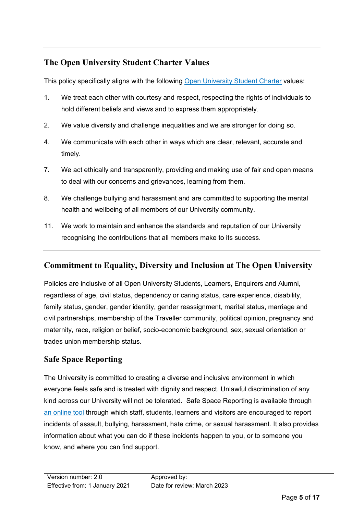## <span id="page-4-0"></span>**The Open University Student Charter Values**

This policy specifically aligns with the following [Open University](http://www.open.ac.uk/students/charter/) Student Charter values:

- 1. We treat each other with courtesy and respect, respecting the rights of individuals to hold different beliefs and views and to express them appropriately.
- 2. We value diversity and challenge inequalities and we are stronger for doing so.
- 4. We communicate with each other in ways which are clear, relevant, accurate and timely.
- 7. We act ethically and transparently, providing and making use of fair and open means to deal with our concerns and grievances, learning from them.
- 8. We challenge bullying and harassment and are committed to supporting the mental health and wellbeing of all members of our University community.
- 11. We work to maintain and enhance the standards and reputation of our University recognising the contributions that all members make to its success.

#### <span id="page-4-1"></span>**Commitment to Equality, Diversity and Inclusion at The Open University**

Policies are inclusive of all Open University Students, Learners, Enquirers and Alumni, regardless of age, civil status, dependency or caring status, care experience, disability, family status, gender, gender identity, gender reassignment, marital status, marriage and civil partnerships, membership of the Traveller community, political opinion, pregnancy and maternity, race, religion or belief, socio-economic background, sex, sexual orientation or trades union membership status.

#### <span id="page-4-2"></span>**Safe Space Reporting**

The University is committed to creating a diverse and inclusive environment in which everyone feels safe and is treated with dignity and respect. Unlawful discrimination of any kind across our University will not be tolerated. Safe Space Reporting is available through [an online tool](https://report-and-support.open.ac.uk/) through which staff, students, learners and visitors are encouraged to report incidents of assault, bullying, harassment, hate crime, or sexual harassment. It also provides information about what you can do if these incidents happen to you, or to someone you know, and where you can find support.

| Version number: 2.0            | Approved by:                |
|--------------------------------|-----------------------------|
| Effective from: 1 January 2021 | Date for review: March 2023 |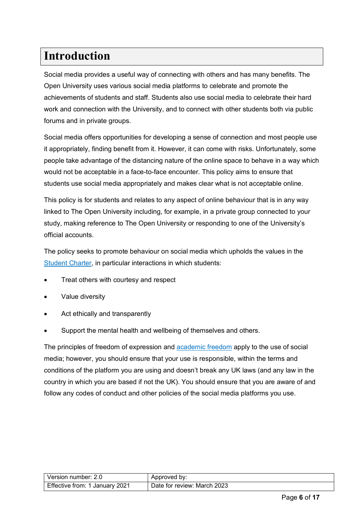# <span id="page-5-0"></span>**Introduction**

Social media provides a useful way of connecting with others and has many benefits. The Open University uses various social media platforms to celebrate and promote the achievements of students and staff. Students also use social media to celebrate their hard work and connection with the University, and to connect with other students both via public forums and in private groups.

Social media offers opportunities for developing a sense of connection and most people use it appropriately, finding benefit from it. However, it can come with risks. Unfortunately, some people take advantage of the distancing nature of the online space to behave in a way which would not be acceptable in a face-to-face encounter. This policy aims to ensure that students use social media appropriately and makes clear what is not acceptable online.

This policy is for students and relates to any aspect of online behaviour that is in any way linked to The Open University including, for example, in a private group connected to your study, making reference to The Open University or responding to one of the University's official accounts.

The policy seeks to promote behaviour on social media which upholds the values in the [Student Charter,](http://www2.open.ac.uk/students/charter) in particular interactions in which students:

- Treat others with courtesy and respect
- Value diversity
- Act ethically and transparently
- Support the mental health and wellbeing of themselves and others.

The principles of freedom of expression and [academic freedom](https://help.open.ac.uk/documents/policies/academic-freedom-principles-statement) apply to the use of social media; however, you should ensure that your use is responsible, within the terms and conditions of the platform you are using and doesn't break any UK laws (and any law in the country in which you are based if not the UK). You should ensure that you are aware of and follow any codes of conduct and other policies of the social media platforms you use.

| l Version number: 2.0_         | Approved by:                |
|--------------------------------|-----------------------------|
| Effective from: 1 January 2021 | Date for review: March 2023 |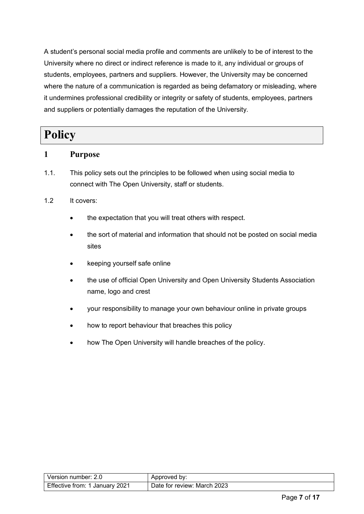A student's personal social media profile and comments are unlikely to be of interest to the University where no direct or indirect reference is made to it, any individual or groups of students, employees, partners and suppliers. However, the University may be concerned where the nature of a communication is regarded as being defamatory or misleading, where it undermines professional credibility or integrity or safety of students, employees, partners and suppliers or potentially damages the reputation of the University.

## <span id="page-6-0"></span>**Policy**

#### <span id="page-6-1"></span>**1 Purpose**

1.1. This policy sets out the principles to be followed when using social media to connect with The Open University, staff or students.

#### 1.2 It covers:

- the expectation that you will treat others with respect.
- the sort of material and information that should not be posted on social media sites
- keeping yourself safe online
- the use of official Open University and Open University Students Association name, logo and crest
- your responsibility to manage your own behaviour online in private groups
- how to report behaviour that breaches this policy
- <span id="page-6-2"></span>how The Open University will handle breaches of the policy.

| Version number: 2.0            | Approved by:                |
|--------------------------------|-----------------------------|
| Effective from: 1 January 2021 | Date for review: March 2023 |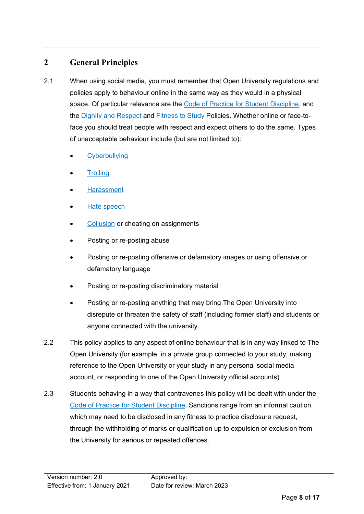## **2 General Principles**

- 2.1 When using social media, you must remember that Open University regulations and policies apply to behaviour online in the same way as they would in a physical space. Of particular relevance are the [Code of Practice for Student Discipline,](https://help.open.ac.uk/documents/policies/code-of-practice-student-discipline) and the [Dignity and Respect](https://help.open.ac.uk/documents/policies/dignity-and-respect) and [Fitness to Study](https://help.open.ac.uk/documents/policies/fitness-to-study) Policies. Whether online or face-toface you should treat people with respect and expect others to do the same. Types of unacceptable behaviour include (but are not limited to):
	- **[Cyberbullying](#page-13-0)**
	- **[Trolling](#page-13-0)**
	- **[Harassment](#page-13-0)**
	- [Hate speech](#page-13-0)
	- [Collusion](#page-13-0) or cheating on assignments
	- Posting or re-posting abuse
	- Posting or re-posting offensive or defamatory images or using offensive or defamatory language
	- Posting or re-posting discriminatory material
	- Posting or re-posting anything that may bring The Open University into disrepute or threaten the safety of staff (including former staff) and students or anyone connected with the university.
- 2.2 This policy applies to any aspect of online behaviour that is in any way linked to The Open University (for example, in a private group connected to your study, making reference to the Open University or your study in any personal social media account, or responding to one of the Open University official accounts).
- 2.3 Students behaving in a way that contravenes this policy will be dealt with under the [Code of Practice for Student Discipline.](https://help.open.ac.uk/documents/policies/code-of-practice-student-discipline) Sanctions range from an informal caution which may need to be disclosed in any fitness to practice disclosure request, through the withholding of marks or qualification up to expulsion or exclusion from the University for serious or repeated offences.

| l Version number: 2.0          | Approved by:                |
|--------------------------------|-----------------------------|
| Effective from: 1 January 2021 | Date for review: March 2023 |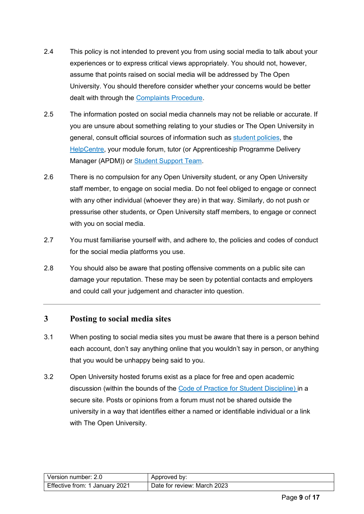- 2.4 This policy is not intended to prevent you from using social media to talk about your experiences or to express critical views appropriately. You should not, however, assume that points raised on social media will be addressed by The Open University. You should therefore consider whether your concerns would be better dealt with through the [Complaints Procedure.](https://help.open.ac.uk/how-to-make-a-complaint-or-appeal)
- 2.5 The information posted on social media channels may not be reliable or accurate. If you are unsure about something relating to your studies or The Open University in general, consult official sources of information such as [student policies,](https://help.open.ac.uk/documents/policies) the [HelpCentre,](https://help.open.ac.uk/) your module forum, tutor (or Apprenticeship Programme Delivery Manager (APDM)) or [Student Support Team.](https://help.open.ac.uk/student-support-team)
- 2.6 There is no compulsion for any Open University student, or any Open University staff member, to engage on social media. Do not feel obliged to engage or connect with any other individual (whoever they are) in that way. Similarly, do not push or pressurise other students, or Open University staff members, to engage or connect with you on social media.
- 2.7 You must familiarise yourself with, and adhere to, the policies and codes of conduct for the social media platforms you use.
- 2.8 You should also be aware that posting offensive comments on a public site can damage your reputation. These may be seen by potential contacts and employers and could call your judgement and character into question.

#### <span id="page-8-0"></span>**3 Posting to social media sites**

- 3.1 When posting to social media sites you must be aware that there is a person behind each account, don't say anything online that you wouldn't say in person, or anything that you would be unhappy being said to you.
- 3.2 Open University hosted forums exist as a place for free and open academic discussion (within the bounds of the [Code of Practice for Student Discipline\)](https://help.open.ac.uk/documents/policies/code-of-practice-student-discipline) in a secure site. Posts or opinions from a forum must not be shared outside the university in a way that identifies either a named or identifiable individual or a link with The Open University.

| Version number: 2.0            | Approved by:                |
|--------------------------------|-----------------------------|
| Effective from: 1 January 2021 | Date for review: March 2023 |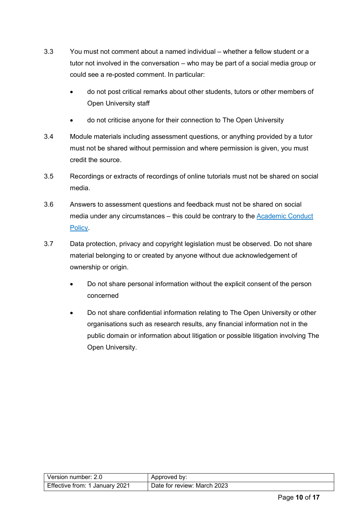- 3.3 You must not comment about a named individual whether a fellow student or a tutor not involved in the conversation – who may be part of a social media group or could see a re-posted comment. In particular:
	- do not post critical remarks about other students, tutors or other members of Open University staff
	- do not criticise anyone for their connection to The Open University
- 3.4 Module materials including assessment questions, or anything provided by a tutor must not be shared without permission and where permission is given, you must credit the source.
- 3.5 Recordings or extracts of recordings of online tutorials must not be shared on social media.
- 3.6 Answers to assessment questions and feedback must not be shared on social media under any circumstances – this could be contrary to the [Academic Conduct](https://help.open.ac.uk/documents/policies/plagiarism) [Policy.](https://help.open.ac.uk/documents/policies/plagiarism)
- 3.7 Data protection, privacy and copyright legislation must be observed. Do not share material belonging to or created by anyone without due acknowledgement of ownership or origin.
	- Do not share personal information without the explicit consent of the person concerned
	- Do not share confidential information relating to The Open University or other organisations such as research results, any financial information not in the public domain or information about litigation or possible litigation involving The Open University.

| Version number: 2.0            | Approved by:                |
|--------------------------------|-----------------------------|
| Effective from: 1 January 2021 | Date for review: March 2023 |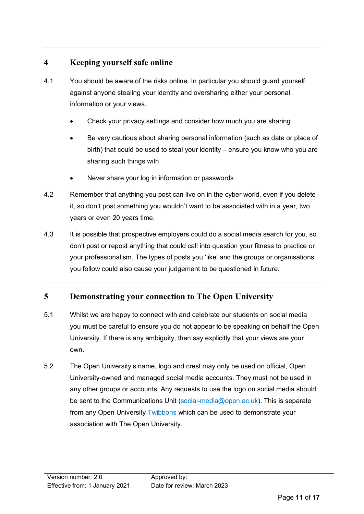#### <span id="page-10-0"></span>**4 Keeping yourself safe online**

- 4.1 You should be aware of the risks online. In particular you should guard yourself against anyone stealing your identity and oversharing either your personal information or your views.
	- Check your privacy settings and consider how much you are sharing
	- Be very cautious about sharing personal information (such as date or place of birth) that could be used to steal your identity – ensure you know who you are sharing such things with
	- Never share your log in information or passwords
- 4.2 Remember that anything you post can live on in the cyber world, even if you delete it, so don't post something you wouldn't want to be associated with in a year, two years or even 20 years time.
- 4.3 It is possible that prospective employers could do a social media search for you, so don't post or repost anything that could call into question your fitness to practice or your professionalism. The types of posts you 'like' and the groups or organisations you follow could also cause your judgement to be questioned in future.

#### <span id="page-10-1"></span>**5 Demonstrating your connection to The Open University**

- 5.1 Whilst we are happy to connect with and celebrate our students on social media you must be careful to ensure you do not appear to be speaking on behalf the Open University. If there is any ambiguity, then say explicitly that your views are your own.
- 5.2 The Open University's name, logo and crest may only be used on official, Open University-owned and managed social media accounts. They must not be used in any other groups or accounts. Any requests to use the logo on social media should be sent to the Communications Unit [\(social-media@open.ac.uk\)](mailto:social-media@open.ac.uk). This is separate from any Open University [Twibbons](#page-13-0) which can be used to demonstrate your association with The Open University.

| Version number: 2.0            | Approved by:                |
|--------------------------------|-----------------------------|
| Effective from: 1 January 2021 | Date for review: March 2023 |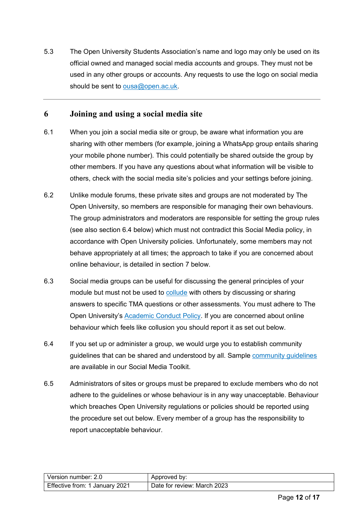5.3 The Open University Students Association's name and logo may only be used on its official owned and managed social media accounts and groups. They must not be used in any other groups or accounts. Any requests to use the logo on social media should be sent to [ousa@open.ac.uk.](mailto:ousa@open.ac.uk)

#### <span id="page-11-0"></span>**6 Joining and using a social media site**

- 6.1 When you join a social media site or group, be aware what information you are sharing with other members (for example, joining a WhatsApp group entails sharing your mobile phone number). This could potentially be shared outside the group by other members. If you have any questions about what information will be visible to others, check with the social media site's policies and your settings before joining.
- 6.2 Unlike module forums, these private sites and groups are not moderated by The Open University, so members are responsible for managing their own behaviours. The group administrators and moderators are responsible for setting the group rules (see also section 6.4 below) which must not contradict this Social Media policy, in accordance with Open University policies. Unfortunately, some members may not behave appropriately at all times; the approach to take if you are concerned about online behaviour, is detailed in section 7 below.
- 6.3 Social media groups can be useful for discussing the general principles of your module but must not be used to [collude](#page-13-0) with others by discussing or sharing answers to specific TMA questions or other assessments. You must adhere to The Open University's [Academic Conduct Policy.](https://help.open.ac.uk/documents/policies/plagiarism) If you are concerned about online behaviour which feels like collusion you should report it as set out below.
- 6.4 If you set up or administer a group, we would urge you to establish community guidelines that can be shared and understood by all. Sample [community guidelines](http://www.open.ac.uk/community/social-media-toolkit/sites/www.open.ac.uk.community.social-media-toolkit/files/files/Community-group-guidelines.pdf) are available in our Social Media Toolkit.
- 6.5 Administrators of sites or groups must be prepared to exclude members who do not adhere to the guidelines or whose behaviour is in any way unacceptable. Behaviour which breaches Open University regulations or policies should be reported using the procedure set out below. Every member of a group has the responsibility to report unacceptable behaviour.

| Version number: 2.0            | Approved by:                |
|--------------------------------|-----------------------------|
| Effective from: 1 January 2021 | Date for review: March 2023 |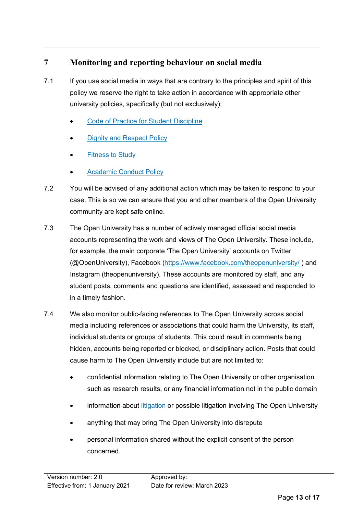### <span id="page-12-0"></span>**7 Monitoring and reporting behaviour on social media**

- 7.1 If you use social media in ways that are contrary to the principles and spirit of this policy we reserve the right to take action in accordance with appropriate other university policies, specifically (but not exclusively):
	- [Code of Practice for Student Discipline](https://help.open.ac.uk/documents/policies/code-of-practice-student-discipline)
	- [Dignity and Respect Policy](https://help.open.ac.uk/documents/policies/dignity-and-respect)
	- **[Fitness to Study](https://help.open.ac.uk/documents/policies/fitness-to-study)**
	- **[Academic Conduct Policy](https://help.open.ac.uk/documents/policies/plagiarism)**
- 7.2 You will be advised of any additional action which may be taken to respond to your case. This is so we can ensure that you and other members of the Open University community are kept safe online.
- 7.3 The Open University has a number of actively managed official social media accounts representing the work and views of The Open University. These include, for example, the main corporate 'The Open University' accounts on Twitter (@OpenUniversity), Facebook [\(https://www.facebook.com/theopenuniversity/](https://www.facebook.com/theopenuniversity/) ) and Instagram (theopenuniversity). These accounts are monitored by staff, and any student posts, comments and questions are identified, assessed and responded to in a timely fashion.
- 7.4 We also monitor public-facing references to The Open University across social media including references or associations that could harm the University, its staff, individual students or groups of students. This could result in comments being hidden, accounts being reported or blocked, or disciplinary action. Posts that could cause harm to The Open University include but are not limited to:
	- confidential information relating to The Open University or other organisation such as research results, or any financial information not in the public domain
	- information about [litigation](#page-13-0) or possible litigation involving The Open University
	- anything that may bring The Open University into disrepute
	- personal information shared without the explicit consent of the person concerned.

| l Version number: 2.0          | Approved by:                |
|--------------------------------|-----------------------------|
| Effective from: 1 January 2021 | Date for review: March 2023 |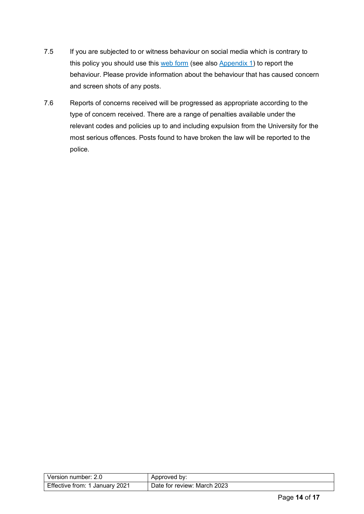- 7.5 If you are subjected to or witness behaviour on social media which is contrary to this policy you should use this [web form](https://help.open.ac.uk/documents/policies/social-media/files/174/social-media-reporting-form%20-%20%28NOV21%20amendment%29.pdf) (see also [Appendix 1\)](#page-13-0) to report the behaviour. Please provide information about the behaviour that has caused concern and screen shots of any posts.
- <span id="page-13-0"></span>7.6 Reports of concerns received will be progressed as appropriate according to the type of concern received. There are a range of penalties available under the relevant codes and policies up to and including expulsion from the University for the most serious offences. Posts found to have broken the law will be reported to the police.

| Version number: 2.0            | Approved by:                |
|--------------------------------|-----------------------------|
| Effective from: 1 January 2021 | Date for review: March 2023 |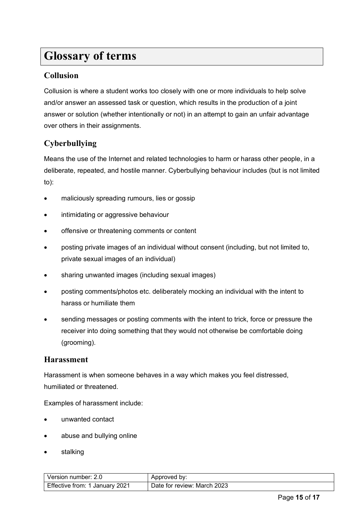## **Glossary of terms**

#### **Collusion**

Collusion is where a student works too closely with one or more individuals to help solve and/or answer an assessed task or question, which results in the production of a joint answer or solution (whether intentionally or not) in an attempt to gain an unfair advantage over others in their assignments.

### **Cyberbullying**

Means the use of the Internet and related technologies to harm or harass other people, in a deliberate, repeated, and hostile manner. Cyberbullying behaviour includes (but is not limited to):

- maliciously spreading rumours, lies or gossip
- intimidating or aggressive behaviour
- offensive or threatening comments or content
- posting private images of an individual without consent (including, but not limited to, private sexual images of an individual)
- sharing unwanted images (including sexual images)
- posting comments/photos etc. deliberately mocking an individual with the intent to harass or humiliate them
- sending messages or posting comments with the intent to trick, force or pressure the receiver into doing something that they would not otherwise be comfortable doing (grooming).

#### **Harassment**

Harassment is when someone behaves in a way which makes you feel distressed, humiliated or threatened.

Examples of harassment include:

- unwanted contact
- abuse and bullying online
- stalking

| Version number: 2.0            | Approved by:                |
|--------------------------------|-----------------------------|
| Effective from: 1 January 2021 | Date for review: March 2023 |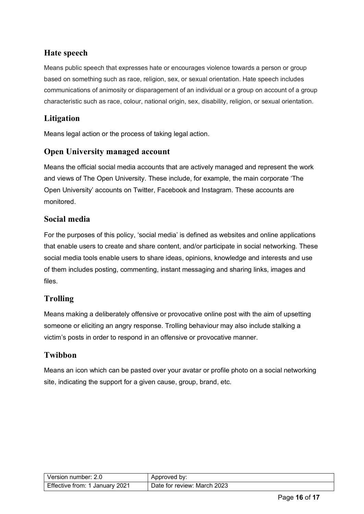## **Hate speech**

Means public speech that expresses hate or encourages violence towards a person or group based on something such as race, religion, sex, or sexual orientation. Hate speech includes communications of animosity or disparagement of an individual or a group on account of a group characteristic such as race, colour, national origin, sex, disability, religion, or sexual orientation.

## **Litigation**

Means legal action or the process of taking legal action.

#### **Open University managed account**

Means the official social media accounts that are actively managed and represent the work and views of The Open University. These include, for example, the main corporate 'The Open University' accounts on Twitter, Facebook and Instagram. These accounts are monitored.

#### **Social media**

For the purposes of this policy, 'social media' is defined as websites and online applications that enable users to create and share content, and/or participate in social networking. These social media tools enable users to share ideas, opinions, knowledge and interests and use of them includes posting, commenting, instant messaging and sharing links, images and files.

### **Trolling**

Means making a deliberately offensive or provocative online post with the aim of upsetting someone or eliciting an angry response. Trolling behaviour may also include stalking a victim's posts in order to respond in an offensive or provocative manner.

### **Twibbon**

<span id="page-15-0"></span>Means an icon which can be pasted over your avatar or profile photo on a social networking site, indicating the support for a given cause, group, brand, etc.

| Version number: 2.0            | Approved by:                |
|--------------------------------|-----------------------------|
| Effective from: 1 January 2021 | Date for review: March 2023 |